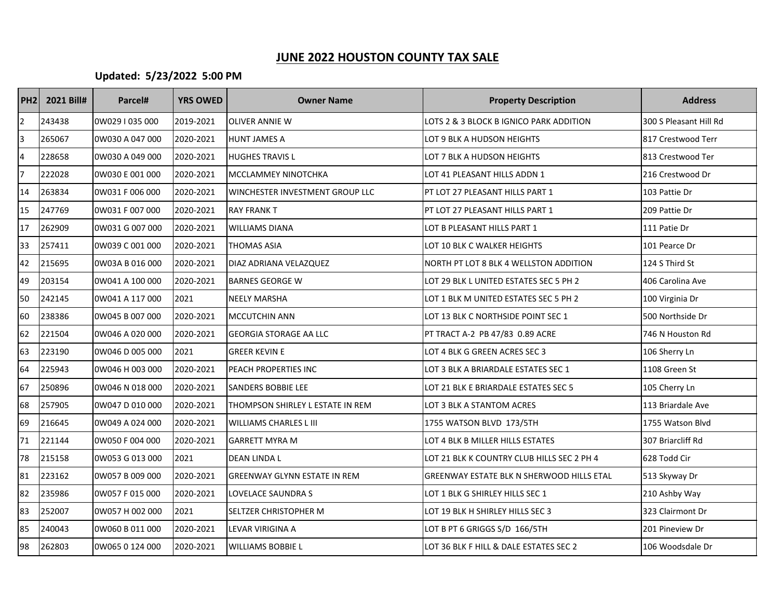## **JUNE 2022 HOUSTON COUNTY TAX SALE**

## **Updated: 5/23/2022 5:00 PM**

| <b>PH2</b>     | 2021 Bill# | Parcel#         | <b>YRS OWED</b> | <b>Owner Name</b>                   | <b>Property Description</b>                | <b>Address</b>         |
|----------------|------------|-----------------|-----------------|-------------------------------------|--------------------------------------------|------------------------|
| $\overline{2}$ | 243438     | 0W029   035 000 | 2019-2021       | <b>OLIVER ANNIE W</b>               | LOTS 2 & 3 BLOCK B IGNICO PARK ADDITION    | 300 S Pleasant Hill Rd |
| 3              | 265067     | 0W030 A 047 000 | 2020-2021       | <b>HUNT JAMES A</b>                 | LOT 9 BLK A HUDSON HEIGHTS                 | 817 Crestwood Terr     |
| 4              | 228658     | 0W030 A 049 000 | 2020-2021       | <b>HUGHES TRAVIS L</b>              | LOT 7 BLK A HUDSON HEIGHTS                 | 813 Crestwood Ter      |
| 7              | 222028     | 0W030 E 001 000 | 2020-2021       | MCCLAMMEY NINOTCHKA                 | LOT 41 PLEASANT HILLS ADDN 1               | 216 Crestwood Dr       |
| 14             | 263834     | 0W031 F 006 000 | 2020-2021       | WINCHESTER INVESTMENT GROUP LLC     | PT LOT 27 PLEASANT HILLS PART 1            | 103 Pattie Dr          |
| 15             | 247769     | 0W031 F 007 000 | 2020-2021       | <b>RAY FRANK T</b>                  | PT LOT 27 PLEASANT HILLS PART 1            | 209 Pattie Dr          |
| 17             | 262909     | 0W031 G 007 000 | 2020-2021       | <b>WILLIAMS DIANA</b>               | LOT B PLEASANT HILLS PART 1                | 111 Patie Dr           |
| 33             | 257411     | 0W039 C 001 000 | 2020-2021       | <b>THOMAS ASIA</b>                  | LOT 10 BLK C WALKER HEIGHTS                | 101 Pearce Dr          |
| 42             | 215695     | 0W03A B 016 000 | 2020-2021       | DIAZ ADRIANA VELAZQUEZ              | NORTH PT LOT 8 BLK 4 WELLSTON ADDITION     | 124 S Third St         |
| 49             | 203154     | 0W041 A 100 000 | 2020-2021       | <b>BARNES GEORGE W</b>              | LOT 29 BLK L UNITED ESTATES SEC 5 PH 2     | 406 Carolina Ave       |
| 50             | 242145     | 0W041 A 117 000 | 2021            | NEELY MARSHA                        | LOT 1 BLK M UNITED ESTATES SEC 5 PH 2      | 100 Virginia Dr        |
| 60             | 238386     | 0W045 B 007 000 | 2020-2021       | <b>MCCUTCHIN ANN</b>                | LOT 13 BLK C NORTHSIDE POINT SEC 1         | 500 Northside Dr       |
| 62             | 221504     | 0W046 A 020 000 | 2020-2021       | <b>GEORGIA STORAGE AA LLC</b>       | PT TRACT A-2 PB 47/83 0.89 ACRE            | 746 N Houston Rd       |
| 63             | 223190     | 0W046 D 005 000 | 2021            | <b>GREER KEVIN E</b>                | LOT 4 BLK G GREEN ACRES SEC 3              | 106 Sherry Ln          |
| 64             | 225943     | 0W046 H 003 000 | 2020-2021       | PEACH PROPERTIES INC                | LOT 3 BLK A BRIARDALE ESTATES SEC 1        | 1108 Green St          |
| 67             | 250896     | 0W046 N 018 000 | 2020-2021       | <b>SANDERS BOBBIE LEE</b>           | LOT 21 BLK E BRIARDALE ESTATES SEC 5       | 105 Cherry Ln          |
| 68             | 257905     | 0W047 D 010 000 | 2020-2021       | THOMPSON SHIRLEY L ESTATE IN REM    | LOT 3 BLK A STANTOM ACRES                  | 113 Briardale Ave      |
| 69             | 216645     | 0W049 A 024 000 | 2020-2021       | <b>WILLIAMS CHARLES L III</b>       | 1755 WATSON BLVD 173/5TH                   | 1755 Watson Blvd       |
| 71             | 221144     | 0W050 F 004 000 | 2020-2021       | <b>GARRETT MYRA M</b>               | LOT 4 BLK B MILLER HILLS ESTATES           | 307 Briarcliff Rd      |
| 78             | 215158     | 0W053 G 013 000 | 2021            | DEAN LINDA L                        | LOT 21 BLK K COUNTRY CLUB HILLS SEC 2 PH 4 | 628 Todd Cir           |
| 81             | 223162     | 0W057 B 009 000 | 2020-2021       | <b>GREENWAY GLYNN ESTATE IN REM</b> | GREENWAY ESTATE BLK N SHERWOOD HILLS ETAL  | 513 Skyway Dr          |
| 82             | 235986     | 0W057 F 015 000 | 2020-2021       | LOVELACE SAUNDRA S                  | LOT 1 BLK G SHIRLEY HILLS SEC 1            | 210 Ashby Way          |
| 83             | 252007     | 0W057 H 002 000 | 2021            | <b>SELTZER CHRISTOPHER M</b>        | LOT 19 BLK H SHIRLEY HILLS SEC 3           | 323 Clairmont Dr       |
| 85             | 240043     | 0W060 B 011 000 | 2020-2021       | LEVAR VIRIGINA A                    | LOT B PT 6 GRIGGS S/D 166/5TH              | 201 Pineview Dr        |
| 98             | 262803     | 0W065 0 124 000 | 2020-2021       | <b>WILLIAMS BOBBIE L</b>            | LOT 36 BLK F HILL & DALE ESTATES SEC 2     | 106 Woodsdale Dr       |